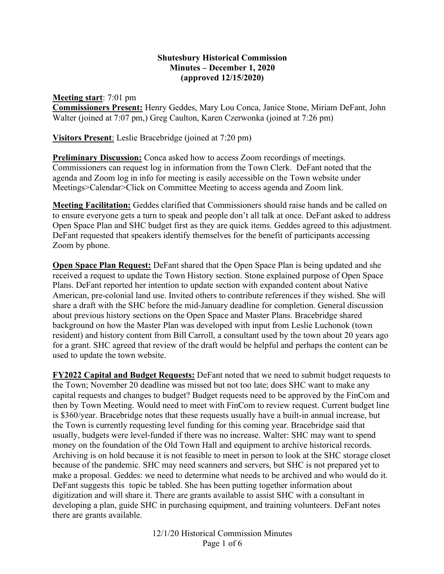## **Shutesbury Historical Commission Minutes – December 1, 2020 (approved 12/15/2020)**

**Meeting start**: 7:01 pm **Commissioners Present:** Henry Geddes, Mary Lou Conca, Janice Stone, Miriam DeFant, John Walter (joined at 7:07 pm,) Greg Caulton, Karen Czerwonka (joined at 7:26 pm)

**Visitors Present**: Leslie Bracebridge (joined at 7:20 pm)

**Preliminary Discussion:** Conca asked how to access Zoom recordings of meetings. Commissioners can request log in information from the Town Clerk. DeFant noted that the agenda and Zoom log in info for meeting is easily accessible on the Town website under Meetings>Calendar>Click on Committee Meeting to access agenda and Zoom link.

**Meeting Facilitation:** Geddes clarified that Commissioners should raise hands and be called on to ensure everyone gets a turn to speak and people don't all talk at once. DeFant asked to address Open Space Plan and SHC budget first as they are quick items. Geddes agreed to this adjustment. DeFant requested that speakers identify themselves for the benefit of participants accessing Zoom by phone.

**Open Space Plan Request:** DeFant shared that the Open Space Plan is being updated and she received a request to update the Town History section. Stone explained purpose of Open Space Plans. DeFant reported her intention to update section with expanded content about Native American, pre-colonial land use. Invited others to contribute references if they wished. She will share a draft with the SHC before the mid-January deadline for completion. General discussion about previous history sections on the Open Space and Master Plans. Bracebridge shared background on how the Master Plan was developed with input from Leslie Luchonok (town resident) and history content from Bill Carroll, a consultant used by the town about 20 years ago for a grant. SHC agreed that review of the draft would be helpful and perhaps the content can be used to update the town website.

**FY2022 Capital and Budget Requests:** DeFant noted that we need to submit budget requests to the Town; November 20 deadline was missed but not too late; does SHC want to make any capital requests and changes to budget? Budget requests need to be approved by the FinCom and then by Town Meeting. Would need to meet with FinCom to review request. Current budget line is \$360/year. Bracebridge notes that these requests usually have a built-in annual increase, but the Town is currently requesting level funding for this coming year. Bracebridge said that usually, budgets were level-funded if there was no increase. Walter: SHC may want to spend money on the foundation of the Old Town Hall and equipment to archive historical records. Archiving is on hold because it is not feasible to meet in person to look at the SHC storage closet because of the pandemic. SHC may need scanners and servers, but SHC is not prepared yet to make a proposal. Geddes: we need to determine what needs to be archived and who would do it. DeFant suggests this topic be tabled. She has been putting together information about digitization and will share it. There are grants available to assist SHC with a consultant in developing a plan, guide SHC in purchasing equipment, and training volunteers. DeFant notes there are grants available.

> 12/1/20 Historical Commission Minutes Page 1 of 6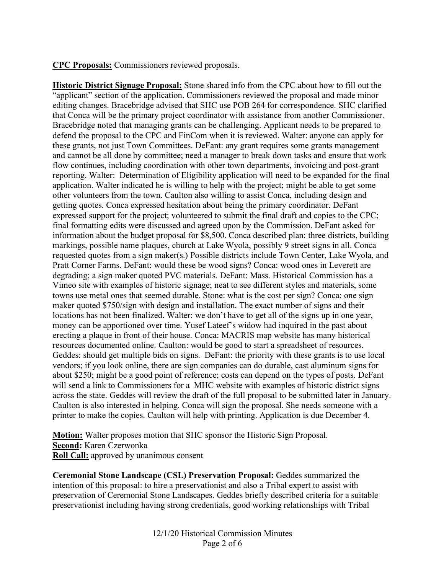**CPC Proposals:** Commissioners reviewed proposals.

**Historic District Signage Proposal:** Stone shared info from the CPC about how to fill out the "applicant" section of the application. Commissioners reviewed the proposal and made minor editing changes. Bracebridge advised that SHC use POB 264 for correspondence. SHC clarified that Conca will be the primary project coordinator with assistance from another Commissioner. Bracebridge noted that managing grants can be challenging. Applicant needs to be prepared to defend the proposal to the CPC and FinCom when it is reviewed. Walter: anyone can apply for these grants, not just Town Committees. DeFant: any grant requires some grants management and cannot be all done by committee; need a manager to break down tasks and ensure that work flow continues, including coordination with other town departments, invoicing and post-grant reporting. Walter: Determination of Eligibility application will need to be expanded for the final application. Walter indicated he is willing to help with the project; might be able to get some other volunteers from the town. Caulton also willing to assist Conca, including design and getting quotes. Conca expressed hesitation about being the primary coordinator. DeFant expressed support for the project; volunteered to submit the final draft and copies to the CPC; final formatting edits were discussed and agreed upon by the Commission. DeFant asked for information about the budget proposal for \$8,500. Conca described plan: three districts, building markings, possible name plaques, church at Lake Wyola, possibly 9 street signs in all. Conca requested quotes from a sign maker(s.) Possible districts include Town Center, Lake Wyola, and Pratt Corner Farms. DeFant: would these be wood signs? Conca: wood ones in Leverett are degrading; a sign maker quoted PVC materials. DeFant: Mass. Historical Commission has a Vimeo site with examples of historic signage; neat to see different styles and materials, some towns use metal ones that seemed durable. Stone: what is the cost per sign? Conca: one sign maker quoted \$750/sign with design and installation. The exact number of signs and their locations has not been finalized. Walter: we don't have to get all of the signs up in one year, money can be apportioned over time. Yusef Lateef's widow had inquired in the past about erecting a plaque in front of their house. Conca: MACRIS map website has many historical resources documented online. Caulton: would be good to start a spreadsheet of resources. Geddes: should get multiple bids on signs. DeFant: the priority with these grants is to use local vendors; if you look online, there are sign companies can do durable, cast aluminum signs for about \$250; might be a good point of reference; costs can depend on the types of posts. DeFant will send a link to Commissioners for a MHC website with examples of historic district signs across the state. Geddes will review the draft of the full proposal to be submitted later in January. Caulton is also interested in helping. Conca will sign the proposal. She needs someone with a printer to make the copies. Caulton will help with printing. Application is due December 4.

**Motion:** Walter proposes motion that SHC sponsor the Historic Sign Proposal. **Second:** Karen Czerwonka **Roll Call:** approved by unanimous consent

**Ceremonial Stone Landscape (CSL) Preservation Proposal:** Geddes summarized the intention of this proposal: to hire a preservationist and also a Tribal expert to assist with preservation of Ceremonial Stone Landscapes. Geddes briefly described criteria for a suitable preservationist including having strong credentials, good working relationships with Tribal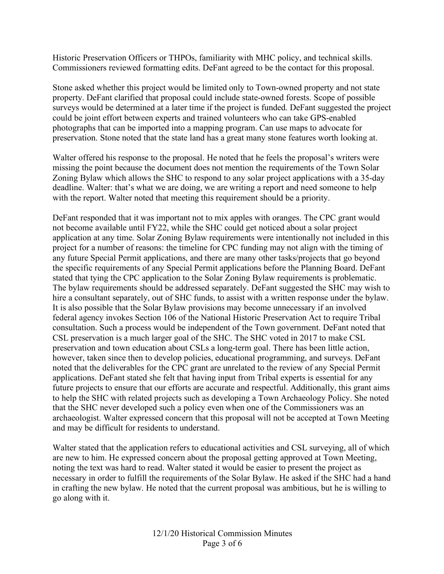Historic Preservation Officers or THPOs, familiarity with MHC policy, and technical skills. Commissioners reviewed formatting edits. DeFant agreed to be the contact for this proposal.

Stone asked whether this project would be limited only to Town-owned property and not state property. DeFant clarified that proposal could include state-owned forests. Scope of possible surveys would be determined at a later time if the project is funded. DeFant suggested the project could be joint effort between experts and trained volunteers who can take GPS-enabled photographs that can be imported into a mapping program. Can use maps to advocate for preservation. Stone noted that the state land has a great many stone features worth looking at.

Walter offered his response to the proposal. He noted that he feels the proposal's writers were missing the point because the document does not mention the requirements of the Town Solar Zoning Bylaw which allows the SHC to respond to any solar project applications with a 35-day deadline. Walter: that's what we are doing, we are writing a report and need someone to help with the report. Walter noted that meeting this requirement should be a priority.

DeFant responded that it was important not to mix apples with oranges. The CPC grant would not become available until FY22, while the SHC could get noticed about a solar project application at any time. Solar Zoning Bylaw requirements were intentionally not included in this project for a number of reasons: the timeline for CPC funding may not align with the timing of any future Special Permit applications, and there are many other tasks/projects that go beyond the specific requirements of any Special Permit applications before the Planning Board. DeFant stated that tying the CPC application to the Solar Zoning Bylaw requirements is problematic. The bylaw requirements should be addressed separately. DeFant suggested the SHC may wish to hire a consultant separately, out of SHC funds, to assist with a written response under the bylaw. It is also possible that the Solar Bylaw provisions may become unnecessary if an involved federal agency invokes Section 106 of the National Historic Preservation Act to require Tribal consultation. Such a process would be independent of the Town government. DeFant noted that CSL preservation is a much larger goal of the SHC. The SHC voted in 2017 to make CSL preservation and town education about CSLs a long-term goal. There has been little action, however, taken since then to develop policies, educational programming, and surveys. DeFant noted that the deliverables for the CPC grant are unrelated to the review of any Special Permit applications. DeFant stated she felt that having input from Tribal experts is essential for any future projects to ensure that our efforts are accurate and respectful. Additionally, this grant aims to help the SHC with related projects such as developing a Town Archaeology Policy. She noted that the SHC never developed such a policy even when one of the Commissioners was an archaeologist. Walter expressed concern that this proposal will not be accepted at Town Meeting and may be difficult for residents to understand.

Walter stated that the application refers to educational activities and CSL surveying, all of which are new to him. He expressed concern about the proposal getting approved at Town Meeting, noting the text was hard to read. Walter stated it would be easier to present the project as necessary in order to fulfill the requirements of the Solar Bylaw. He asked if the SHC had a hand in crafting the new bylaw. He noted that the current proposal was ambitious, but he is willing to go along with it.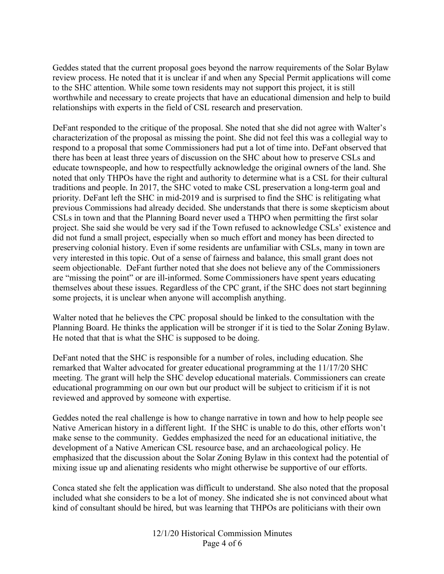Geddes stated that the current proposal goes beyond the narrow requirements of the Solar Bylaw review process. He noted that it is unclear if and when any Special Permit applications will come to the SHC attention. While some town residents may not support this project, it is still worthwhile and necessary to create projects that have an educational dimension and help to build relationships with experts in the field of CSL research and preservation.

DeFant responded to the critique of the proposal. She noted that she did not agree with Walter's characterization of the proposal as missing the point. She did not feel this was a collegial way to respond to a proposal that some Commissioners had put a lot of time into. DeFant observed that there has been at least three years of discussion on the SHC about how to preserve CSLs and educate townspeople, and how to respectfully acknowledge the original owners of the land. She noted that only THPOs have the right and authority to determine what is a CSL for their cultural traditions and people. In 2017, the SHC voted to make CSL preservation a long-term goal and priority. DeFant left the SHC in mid-2019 and is surprised to find the SHC is relitigating what previous Commissions had already decided. She understands that there is some skepticism about CSLs in town and that the Planning Board never used a THPO when permitting the first solar project. She said she would be very sad if the Town refused to acknowledge CSLs' existence and did not fund a small project, especially when so much effort and money has been directed to preserving colonial history. Even if some residents are unfamiliar with CSLs, many in town are very interested in this topic. Out of a sense of fairness and balance, this small grant does not seem objectionable. DeFant further noted that she does not believe any of the Commissioners are "missing the point" or are ill-informed. Some Commissioners have spent years educating themselves about these issues. Regardless of the CPC grant, if the SHC does not start beginning some projects, it is unclear when anyone will accomplish anything.

Walter noted that he believes the CPC proposal should be linked to the consultation with the Planning Board. He thinks the application will be stronger if it is tied to the Solar Zoning Bylaw. He noted that that is what the SHC is supposed to be doing.

DeFant noted that the SHC is responsible for a number of roles, including education. She remarked that Walter advocated for greater educational programming at the 11/17/20 SHC meeting. The grant will help the SHC develop educational materials. Commissioners can create educational programming on our own but our product will be subject to criticism if it is not reviewed and approved by someone with expertise.

Geddes noted the real challenge is how to change narrative in town and how to help people see Native American history in a different light. If the SHC is unable to do this, other efforts won't make sense to the community. Geddes emphasized the need for an educational initiative, the development of a Native American CSL resource base, and an archaeological policy. He emphasized that the discussion about the Solar Zoning Bylaw in this context had the potential of mixing issue up and alienating residents who might otherwise be supportive of our efforts.

Conca stated she felt the application was difficult to understand. She also noted that the proposal included what she considers to be a lot of money. She indicated she is not convinced about what kind of consultant should be hired, but was learning that THPOs are politicians with their own

> 12/1/20 Historical Commission Minutes Page 4 of 6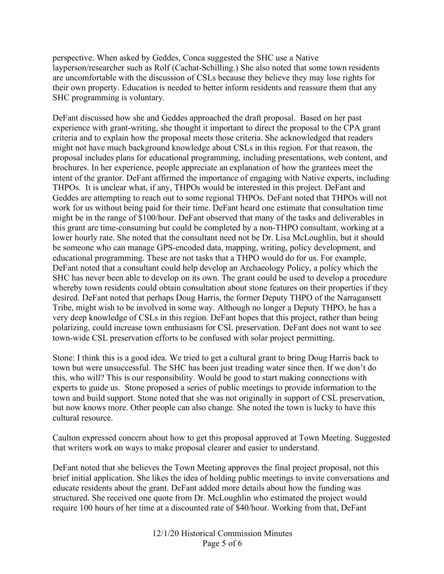perspective. When asked by Geddes, Conca suggested the SHC use a Native layperson/researcher such as Rolf (Cachat-Schilling.) She also noted that some town residents are uncomfortable with the discussion of CSLs because they believe they may lose rights for their own property. Education is needed to better inform residents and reassure them that any SHC programming is voluntary.

DeFant discussed how she and Geddes approached the draft proposal. Based on her past experience with grant-writing, she thought it important to direct the proposal to the CPA grant criteria and to explain how the proposal meets those criteria. She acknowledged that readers might not have much background knowledge about CSLs in this region. For that reason, the proposal includes plans for educational programming, including presentations, web content, and brochures. In her experience, people appreciate an explanation of how the grantees meet the intent of the grantor. DeFant affirmed the importance of engaging with Native experts, including THPOs. It is unclear what, if any, THPOs would be interested in this project. DeFant and Geddes are attempting to reach out to some regional THPOs. DeFant noted that THPOs will not work for us without being paid for their time. DeFant heard one estimate that consultation time might be in the range of \$100/hour. DeFant observed that many of the tasks and deliverables in this grant are time-consuming but could be completed by a non-THPO consultant, working at a lower hourly rate. She noted that the consultant need not be Dr. Lisa McLoughlin, but it should be someone who can manage GPS-encoded data, mapping, writing, policy development, and educational programming. These are not tasks that a THPO would do for us. For example, DeFant noted that a consultant could help develop an Archaeology Policy, a policy which the SHC has never been able to develop on its own. The grant could be used to develop a procedure whereby town residents could obtain consultation about stone features on their properties if they desired. DeFant noted that perhaps Doug Harris, the former Deputy THPO of the Narragansett Tribe, might wish to be involved in some way. Although no longer a Deputy THPO, he has a very deep knowledge of CSLs in this region. DeFant hopes that this project, rather than being polarizing, could increase town enthusiasm for CSL preservation. DeFant does not want to see town-wide CSL preservation efforts to be confused with solar project permitting.

Stone: I think this is a good idea. We tried to get a cultural grant to bring Doug Harris back to town but were unsuccessful. The SHC has been just treading water since then. If we don't do this, who will? This is our responsibility. Would be good to start making connections with experts to guide us. Stone proposed a series of public meetings to provide information to the town and build support. Stone noted that she was not originally in support of CSL preservation, but now knows more. Other people can also change. She noted the town is lucky to have this cultural resource.

Caulton expressed concern about how to get this proposal approved at Town Meeting. Suggested that writers work on ways to make proposal clearer and easier to understand.

DeFant noted that she believes the Town Meeting approves the final project proposal, not this brief initial application. She likes the idea of holding public meetings to invite conversations and educate residents about the grant. DeFant added more details about how the funding was structured. She received one quote from Dr. McLoughlin who estimated the project would require 100 hours of her time at a discounted rate of \$40/hour. Working from that, DeFant